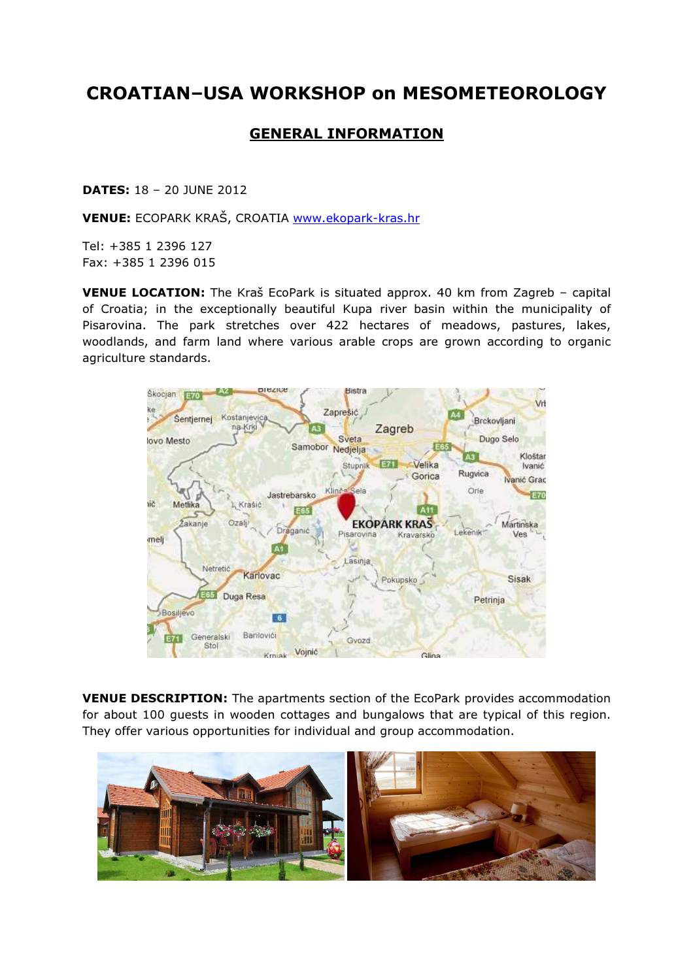## CROATIAN–USA WORKSHOP on MESOMETEOROLOGY

## GENERAL INFORMATION

DATES: 18 – 20 JUNE 2012

VENUE: ECOPARK KRAŠ, CROATIA www.ekopark-kras.hr

Tel: +385 1 2396 127 Fax: +385 1 2396 015

VENUE LOCATION: The Kraš EcoPark is situated approx. 40 km from Zagreb – capital of Croatia; in the exceptionally beautiful Kupa river basin within the municipality of Pisarovina. The park stretches over 422 hectares of meadows, pastures, lakes, woodlands, and farm land where various arable crops are grown according to organic agriculture standards.



VENUE DESCRIPTION: The apartments section of the EcoPark provides accommodation for about 100 guests in wooden cottages and bungalows that are typical of this region. They offer various opportunities for individual and group accommodation.